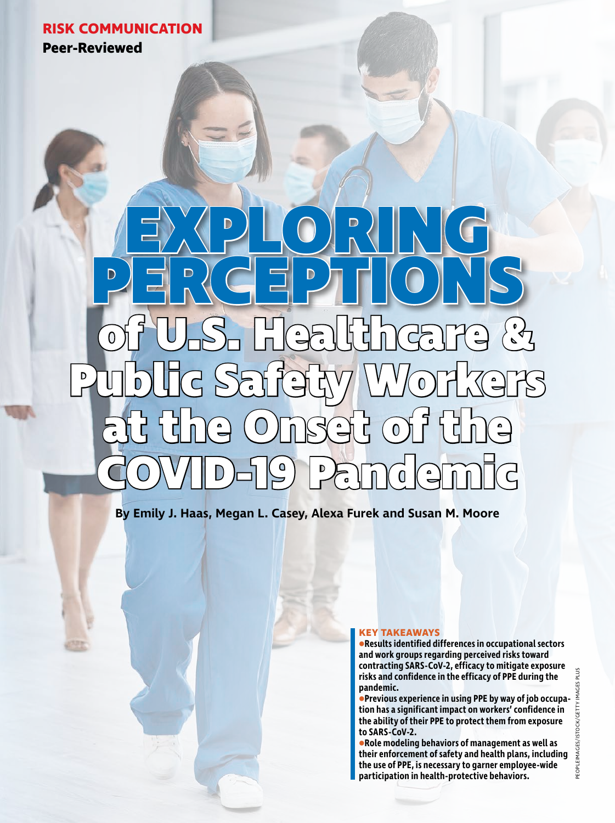# **RISK COMMUNICATION**

**Peer-Reviewed**

# **of U.S. Healthcare & Public Safety Workers at the Onset of the COVID-19 Pandemic EXPLORING PERCEPTIONS**

**By Emily J. Haas, Megan L. Casey, Alexa Furek and Susan M. Moore**

# **KEY TAKEAWAYS**

**•Results identified differences in occupational sectors and work groups regarding perceived risks toward contracting SARS-CoV-2, efficacy to mitigate exposure risks and confidence in the efficacy of PPE during the pandemic.**

**•Previous experience in using PPE by way of job occupation has a significant impact on workers' confidence in the ability of their PPE to protect them from exposure to SARS-CoV-2.** 

**•Role modeling behaviors of management as well as their enforcement of safety and health plans, including the use of PPE, is necessary to garner employee-wide participation in health-protective behaviors.**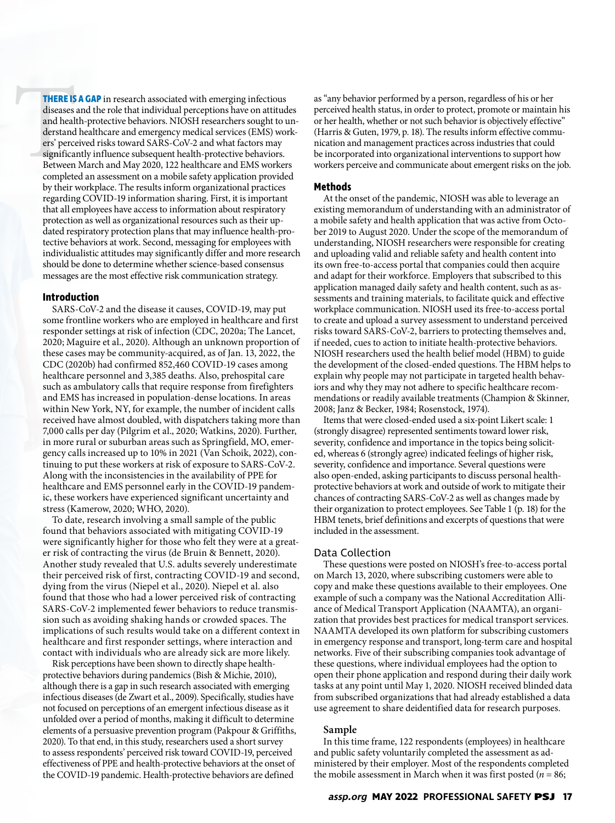THERE IS<br>
diseases<br>
and healt<br>
derstand<br>
ers' perce<br>
significan<br>
Between<br>
complete **THERE IS A GAP** in research associated with emerging infectious diseases and the role that individual perceptions have on attitudes and health-protective behaviors. NIOSH researchers sought to understand healthcare and emergency medical services (EMS) workers' perceived risks toward SARS-CoV-2 and what factors may significantly influence subsequent health-protective behaviors. Between March and May 2020, 122 healthcare and EMS workers completed an assessment on a mobile safety application provided by their workplace. The results inform organizational practices regarding COVID-19 information sharing. First, it is important that all employees have access to information about respiratory protection as well as organizational resources such as their updated respiratory protection plans that may influence health-protective behaviors at work. Second, messaging for employees with individualistic attitudes may significantly differ and more research should be done to determine whether science-based consensus messages are the most effective risk communication strategy.

# **Introduction**

SARS-CoV-2 and the disease it causes, COVID-19, may put some frontline workers who are employed in healthcare and first responder settings at risk of infection (CDC, 2020a; The Lancet, 2020; Maguire et al., 2020). Although an unknown proportion of these cases may be community-acquired, as of Jan. 13, 2022, the CDC (2020b) had confirmed 852,460 COVID-19 cases among healthcare personnel and 3,385 deaths. Also, prehospital care such as ambulatory calls that require response from firefighters and EMS has increased in population-dense locations. In areas within New York, NY, for example, the number of incident calls received have almost doubled, with dispatchers taking more than 7,000 calls per day (Pilgrim et al., 2020; Watkins, 2020). Further, in more rural or suburban areas such as Springfield, MO, emergency calls increased up to 10% in 2021 (Van Schoik, 2022), continuing to put these workers at risk of exposure to SARS-CoV-2. Along with the inconsistencies in the availability of PPE for healthcare and EMS personnel early in the COVID-19 pandemic, these workers have experienced significant uncertainty and stress (Kamerow, 2020; WHO, 2020).

To date, research involving a small sample of the public found that behaviors associated with mitigating COVID-19 were significantly higher for those who felt they were at a greater risk of contracting the virus (de Bruin & Bennett, 2020). Another study revealed that U.S. adults severely underestimate their perceived risk of first, contracting COVID-19 and second, dying from the virus (Niepel et al., 2020). Niepel et al. also found that those who had a lower perceived risk of contracting SARS-CoV-2 implemented fewer behaviors to reduce transmission such as avoiding shaking hands or crowded spaces. The implications of such results would take on a different context in healthcare and first responder settings, where interaction and contact with individuals who are already sick are more likely.

Risk perceptions have been shown to directly shape healthprotective behaviors during pandemics (Bish & Michie, 2010), although there is a gap in such research associated with emerging infectious diseases (de Zwart et al., 2009). Specifically, studies have not focused on perceptions of an emergent infectious disease as it unfolded over a period of months, making it difficult to determine elements of a persuasive prevention program (Pakpour & Griffiths, 2020). To that end, in this study, researchers used a short survey to assess respondents' perceived risk toward COVID-19, perceived effectiveness of PPE and health-protective behaviors at the onset of the COVID-19 pandemic. Health-protective behaviors are defined

as "any behavior performed by a person, regardless of his or her perceived health status, in order to protect, promote or maintain his or her health, whether or not such behavior is objectively effective" (Harris & Guten, 1979, p. 18). The results inform effective communication and management practices across industries that could be incorporated into organizational interventions to support how workers perceive and communicate about emergent risks on the job.

# **Methods**

At the onset of the pandemic, NIOSH was able to leverage an existing memorandum of understanding with an administrator of a mobile safety and health application that was active from October 2019 to August 2020. Under the scope of the memorandum of understanding, NIOSH researchers were responsible for creating and uploading valid and reliable safety and health content into its own free-to-access portal that companies could then acquire and adapt for their workforce. Employers that subscribed to this application managed daily safety and health content, such as assessments and training materials, to facilitate quick and effective workplace communication. NIOSH used its free-to-access portal to create and upload a survey assessment to understand perceived risks toward SARS-CoV-2, barriers to protecting themselves and, if needed, cues to action to initiate health-protective behaviors. NIOSH researchers used the health belief model (HBM) to guide the development of the closed-ended questions. The HBM helps to explain why people may not participate in targeted health behaviors and why they may not adhere to specific healthcare recommendations or readily available treatments (Champion & Skinner, 2008; Janz & Becker, 1984; Rosenstock, 1974).

Items that were closed-ended used a six-point Likert scale: 1 (strongly disagree) represented sentiments toward lower risk, severity, confidence and importance in the topics being solicited, whereas 6 (strongly agree) indicated feelings of higher risk, severity, confidence and importance. Several questions were also open-ended, asking participants to discuss personal healthprotective behaviors at work and outside of work to mitigate their chances of contracting SARS-CoV-2 as well as changes made by their organization to protect employees. See Table 1 (p. 18) for the HBM tenets, brief definitions and excerpts of questions that were included in the assessment.

# Data Collection

These questions were posted on NIOSH's free-to-access portal on March 13, 2020, where subscribing customers were able to copy and make these questions available to their employees. One example of such a company was the National Accreditation Alliance of Medical Transport Application (NAAMTA), an organization that provides best practices for medical transport services. NAAMTA developed its own platform for subscribing customers in emergency response and transport, long-term care and hospital networks. Five of their subscribing companies took advantage of these questions, where individual employees had the option to open their phone application and respond during their daily work tasks at any point until May 1, 2020. NIOSH received blinded data from subscribed organizations that had already established a data use agreement to share deidentified data for research purposes.

# **Sample**

In this time frame, 122 respondents (employees) in healthcare and public safety voluntarily completed the assessment as administered by their employer. Most of the respondents completed the mobile assessment in March when it was first posted ( $n = 86$ ;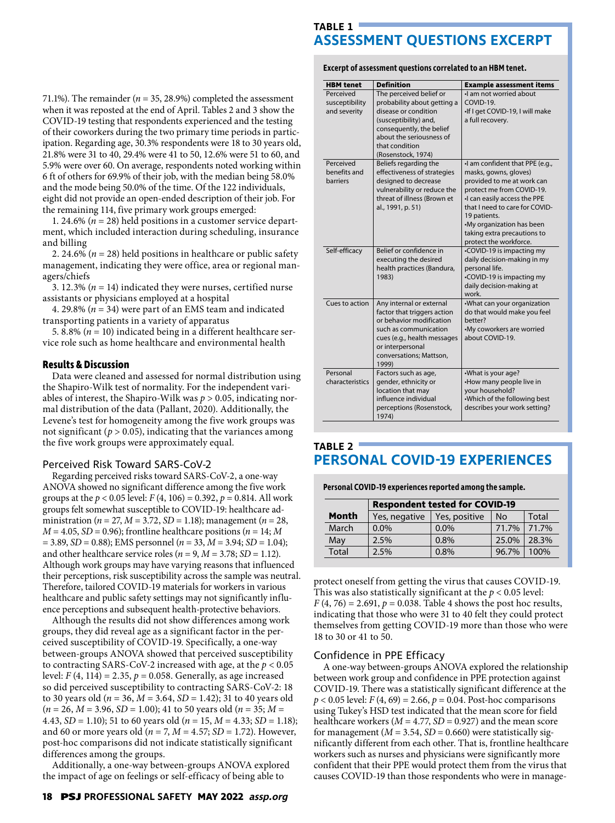# **TABLE 1 ASSESSMENT QUESTIONS EXCERPT**

**Excerpt of assessment questions correlated to an HBM tenet.** 

| 71.1%). The remainder ( $n = 35$ , 28.9%) completed the assessment<br>when it was reposted at the end of April. Tables 2 and 3 show the |
|-----------------------------------------------------------------------------------------------------------------------------------------|
| COVID-19 testing that respondents experienced and the testing                                                                           |
| of their coworkers during the two primary time periods in partic-                                                                       |
| ipation. Regarding age, 30.3% respondents were 18 to 30 years old,                                                                      |
| 21.8% were 31 to 40, 29.4% were 41 to 50, 12.6% were 51 to 60, and                                                                      |
| 5.9% were over 60. On average, respondents noted working within                                                                         |
| 6 ft of others for 69.9% of their job, with the median being 58.0%                                                                      |
| and the mode being 50.0% of the time. Of the 122 individuals,                                                                           |
| eight did not provide an open-ended description of their job. For                                                                       |
| the remaining 114, five primary work groups emerged:                                                                                    |
|                                                                                                                                         |

1. 24.6% (*n* = 28) held positions in a customer service department, which included interaction during scheduling, insurance and billing

2. 24.6% ( $n = 28$ ) held positions in healthcare or public safety management, indicating they were office, area or regional managers/chiefs

3. 12.3% (*n* = 14) indicated they were nurses, certified nurse assistants or physicians employed at a hospital

4. 29.8% (*n* = 34) were part of an EMS team and indicated transporting patients in a variety of apparatus

5. 8.8% ( $n = 10$ ) indicated being in a different healthcare service role such as home healthcare and environmental health

# **Results & Discussion**

Data were cleaned and assessed for normal distribution using the Shapiro-Wilk test of normality. For the independent variables of interest, the Shapiro-Wilk was *p* > 0.05, indicating normal distribution of the data (Pallant, 2020). Additionally, the Levene's test for homogeneity among the five work groups was not significant ( $p > 0.05$ ), indicating that the variances among the five work groups were approximately equal.

# Perceived Risk Toward SARS-CoV-2

Regarding perceived risks toward SARS-CoV-2, a one-way ANOVA showed no significant difference among the five work groups at the *p* < 0.05 level: *F* (4, 106) = 0.392, *p* = 0.814. All work groups felt somewhat susceptible to COVID-19: healthcare administration (*n* = 27, *M* = 3.72, *SD* = 1.18); management (*n* = 28,  $M = 4.05$ ,  $SD = 0.96$ ); frontline healthcare positions ( $n = 14$ ; M  $= 3.89, SD = 0.88$ ; *EMS* personnel (*n* = 33, *M* = 3.94; *SD* = 1.04); and other healthcare service roles ( $n = 9$ ,  $M = 3.78$ ; *SD* = 1.12). Although work groups may have varying reasons that influenced their perceptions, risk susceptibility across the sample was neutral. Therefore, tailored COVID-19 materials for workers in various healthcare and public safety settings may not significantly influence perceptions and subsequent health-protective behaviors.

Although the results did not show differences among work groups, they did reveal age as a significant factor in the perceived susceptibility of COVID-19. Specifically, a one-way between-groups ANOVA showed that perceived susceptibility to contracting SARS-CoV-2 increased with age, at the *p* < 0.05 level: *F* (4, 114) = 2.35,  $p = 0.058$ . Generally, as age increased so did perceived susceptibility to contracting SARS-CoV-2: 18 to 30 years old (*n* = 36, *M* = 3.64, *SD* = 1.42); 31 to 40 years old (*n* = 26, *M* = 3.96, *SD* = 1.00); 41 to 50 years old (*n* = 35; *M* = 4.43, *SD* = 1.10); 51 to 60 years old (*n* = 15, *M* = 4.33; *SD* = 1.18); and 60 or more years old ( $n = 7$ ,  $M = 4.57$ ; *SD* = 1.72). However, post-hoc comparisons did not indicate statistically significant differences among the groups.

Additionally, a one-way between-groups ANOVA explored the impact of age on feelings or self-efficacy of being able to

| <b>HBM</b> tenet                             | <b>Definition</b>                                                                                                                                                                                       | <b>Example assessment items</b>                                                                                                                                                                                                                                                            |
|----------------------------------------------|---------------------------------------------------------------------------------------------------------------------------------------------------------------------------------------------------------|--------------------------------------------------------------------------------------------------------------------------------------------------------------------------------------------------------------------------------------------------------------------------------------------|
| Perceived<br>susceptibility<br>and severity  | The perceived belief or<br>probability about getting a<br>disease or condition<br>(susceptibility) and,<br>consequently, the belief<br>about the seriousness of<br>that condition<br>(Rosenstock, 1974) | I am not worried about<br>COVID-19.<br>-If I get COVID-19, I will make<br>a full recovery.                                                                                                                                                                                                 |
| Perceived<br>benefits and<br><b>harriers</b> | Beliefs regarding the<br>effectiveness of strategies<br>designed to decrease<br>vulnerability or reduce the<br>threat of illness (Brown et<br>al., 1991, p. 51)                                         | •I am confident that PPE (e.g.,<br>masks, gowns, gloves)<br>provided to me at work can<br>protect me from COVID-19.<br>I can easily access the PPE<br>that I need to care for COVID-<br>19 patients.<br>•My organization has been<br>taking extra precautions to<br>protect the workforce. |
| Self-efficacy                                | Belief or confidence in<br>executing the desired<br>health practices (Bandura,<br>1983)                                                                                                                 | •COVID-19 is impacting my<br>daily decision-making in my<br>personal life.<br>•COVID-19 is impacting my<br>daily decision-making at<br>work.                                                                                                                                               |
| Cues to action                               | Any internal or external<br>factor that triggers action<br>or behavior modification<br>such as communication<br>cues (e.g., health messages<br>or interpersonal<br>conversations; Mattson,<br>1999)     | .What can your organization<br>do that would make you feel<br>better?<br>•My coworkers are worried<br>about COVID-19.                                                                                                                                                                      |
| Personal<br>characteristics                  | Factors such as age,<br>gender, ethnicity or<br>location that may<br>influence individual<br>perceptions (Rosenstock,<br>1974)                                                                          | •What is your age?<br>•How many people live in<br>your household?<br>.Which of the following best<br>describes your work setting?                                                                                                                                                          |

# **TABLE 2 PERSONAL COVID-19 EXPERIENCES**

**Personal COVID-19 experiences reported among the sample.** 

|              | <b>Respondent tested for COVID-19</b> |               |       |       |
|--------------|---------------------------------------|---------------|-------|-------|
| Month        | Yes, negative                         | Yes, positive | No    | Total |
| March        | $0.0\%$                               | $0.0\%$       | 71.7% | 71.7% |
| May          | 2.5%                                  | 0.8%          | 25.0% | 28.3% |
| <b>Total</b> | 2.5%                                  | 0.8%          | 96.7% | 100%  |

protect oneself from getting the virus that causes COVID-19. This was also statistically significant at the *p* < 0.05 level:  $F(4, 76) = 2.691, p = 0.038$ . Table 4 shows the post hoc results, indicating that those who were 31 to 40 felt they could protect themselves from getting COVID-19 more than those who were 18 to 30 or 41 to 50.

# Confidence in PPE Efficacy

A one-way between-groups ANOVA explored the relationship between work group and confidence in PPE protection against COVID-19. There was a statistically significant difference at the  $p < 0.05$  level:  $F(4, 69) = 2.66$ ,  $p = 0.04$ . Post-hoc comparisons using Tukey's HSD test indicated that the mean score for field healthcare workers  $(M = 4.77, SD = 0.927)$  and the mean score for management ( $M = 3.54$ ,  $SD = 0.660$ ) were statistically significantly different from each other. That is, frontline healthcare workers such as nurses and physicians were significantly more confident that their PPE would protect them from the virus that causes COVID-19 than those respondents who were in manage-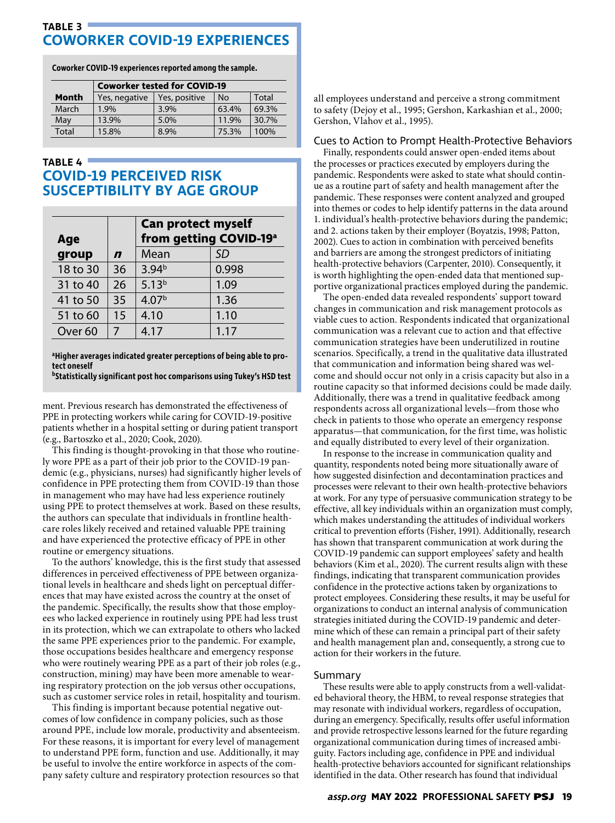# **TABLE 3 COWORKER COVID-19 EXPERIENCES**

**Coworker COVID-19 experiences reported among the sample.** 

|              | <b>Coworker tested for COVID-19</b> |               |       |       |
|--------------|-------------------------------------|---------------|-------|-------|
| Month        | Yes, negative                       | Yes, positive | No    | Total |
| March        | 1.9%                                | 3.9%          | 63.4% | 69.3% |
| May          | 13.9%                               | 5.0%          | 11.9% | 30.7% |
| <b>Total</b> | 15.8%                               | 8.9%          | 75.3% | 100%  |

# **TABLE 4 COVID-19 PERCEIVED RISK SUSCEPTIBILITY BY AGE GROUP**

| Age                |                  | <b>Can protect myself</b><br>from getting COVID-19 <sup>a</sup> |           |  |
|--------------------|------------------|-----------------------------------------------------------------|-----------|--|
| group              | $\boldsymbol{n}$ | Mean                                                            | <b>SD</b> |  |
| 18 to 30           | 36               | 3.94 <sup>b</sup>                                               | 0.998     |  |
| 31 to 40           | 26               | $5.13^{b}$                                                      | 1.09      |  |
| 41 to 50           | 35               | 4.07 <sup>b</sup>                                               | 1.36      |  |
| 51 to 60           | 15               | 4.10                                                            | 1.10      |  |
| Over <sub>60</sub> | 7                | 4.17                                                            | 1.17      |  |

# **a Higher averages indicated greater perceptions of being able to protect oneself**

**bStatistically significant post hoc comparisons using Tukey's HSD test**

ment. Previous research has demonstrated the effectiveness of PPE in protecting workers while caring for COVID-19-positive patients whether in a hospital setting or during patient transport (e.g., Bartoszko et al., 2020; Cook, 2020).

This finding is thought-provoking in that those who routinely wore PPE as a part of their job prior to the COVID-19 pandemic (e.g., physicians, nurses) had significantly higher levels of confidence in PPE protecting them from COVID-19 than those in management who may have had less experience routinely using PPE to protect themselves at work. Based on these results, the authors can speculate that individuals in frontline healthcare roles likely received and retained valuable PPE training and have experienced the protective efficacy of PPE in other routine or emergency situations.

To the authors' knowledge, this is the first study that assessed differences in perceived effectiveness of PPE between organizational levels in healthcare and sheds light on perceptual differences that may have existed across the country at the onset of the pandemic. Specifically, the results show that those employees who lacked experience in routinely using PPE had less trust in its protection, which we can extrapolate to others who lacked the same PPE experiences prior to the pandemic. For example, those occupations besides healthcare and emergency response who were routinely wearing PPE as a part of their job roles (e.g., construction, mining) may have been more amenable to wearing respiratory protection on the job versus other occupations, such as customer service roles in retail, hospitality and tourism.

This finding is important because potential negative outcomes of low confidence in company policies, such as those around PPE, include low morale, productivity and absenteeism. For these reasons, it is important for every level of management to understand PPE form, function and use. Additionally, it may be useful to involve the entire workforce in aspects of the company safety culture and respiratory protection resources so that

all employees understand and perceive a strong commitment to safety (Dejoy et al., 1995; Gershon, Karkashian et al., 2000; Gershon, Vlahov et al., 1995).

# Cues to Action to Prompt Health-Protective Behaviors

Finally, respondents could answer open-ended items about the processes or practices executed by employers during the pandemic. Respondents were asked to state what should continue as a routine part of safety and health management after the pandemic. These responses were content analyzed and grouped into themes or codes to help identify patterns in the data around 1. individual's health-protective behaviors during the pandemic; and 2. actions taken by their employer (Boyatzis, 1998; Patton, 2002). Cues to action in combination with perceived benefits and barriers are among the strongest predictors of initiating health-protective behaviors (Carpenter, 2010). Consequently, it is worth highlighting the open-ended data that mentioned supportive organizational practices employed during the pandemic.

The open-ended data revealed respondents' support toward changes in communication and risk management protocols as viable cues to action. Respondents indicated that organizational communication was a relevant cue to action and that effective communication strategies have been underutilized in routine scenarios. Specifically, a trend in the qualitative data illustrated that communication and information being shared was welcome and should occur not only in a crisis capacity but also in a routine capacity so that informed decisions could be made daily. Additionally, there was a trend in qualitative feedback among respondents across all organizational levels—from those who check in patients to those who operate an emergency response apparatus—that communication, for the first time, was holistic and equally distributed to every level of their organization.

In response to the increase in communication quality and quantity, respondents noted being more situationally aware of how suggested disinfection and decontamination practices and processes were relevant to their own health-protective behaviors at work. For any type of persuasive communication strategy to be effective, all key individuals within an organization must comply, which makes understanding the attitudes of individual workers critical to prevention efforts (Fisher, 1991). Additionally, research has shown that transparent communication at work during the COVID-19 pandemic can support employees' safety and health behaviors (Kim et al., 2020). The current results align with these findings, indicating that transparent communication provides confidence in the protective actions taken by organizations to protect employees. Considering these results, it may be useful for organizations to conduct an internal analysis of communication strategies initiated during the COVID-19 pandemic and determine which of these can remain a principal part of their safety and health management plan and, consequently, a strong cue to action for their workers in the future.

# Summary

These results were able to apply constructs from a well-validated behavioral theory, the HBM, to reveal response strategies that may resonate with individual workers, regardless of occupation, during an emergency. Specifically, results offer useful information and provide retrospective lessons learned for the future regarding organizational communication during times of increased ambiguity. Factors including age, confidence in PPE and individual health-protective behaviors accounted for significant relationships identified in the data. Other research has found that individual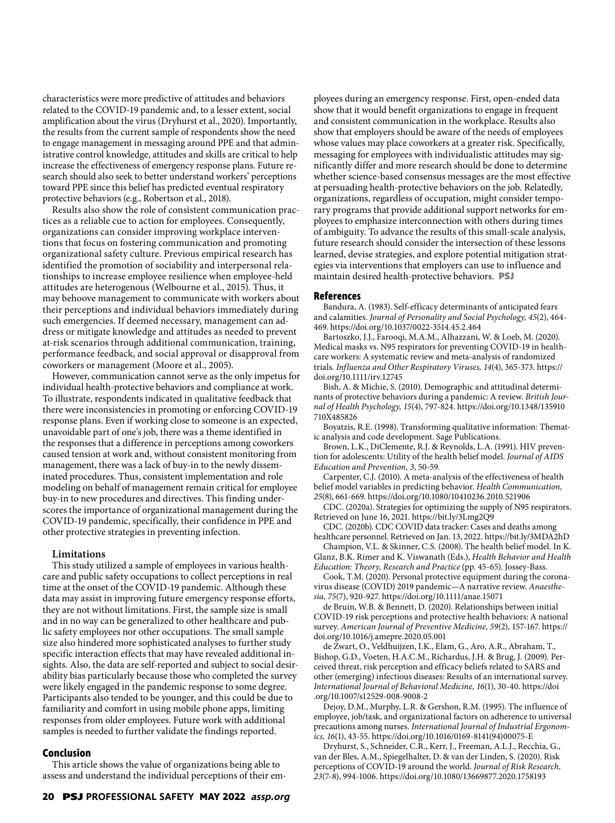characteristics were more predictive of attitudes and behaviors related to the COVID-19 pandemic and, to a lesser extent, social amplification about the virus (Dryhurst et al., 2020). Importantly, the results from the current sample of respondents show the need to engage management in messaging around PPE and that administrative control knowledge, attitudes and skills are critical to help increase the effectiveness of emergency response plans. Future research should also seek to better understand workers' perceptions toward PPE since this belief has predicted eventual respiratory protective behaviors (e.g., Robertson et al., 2018).

Results also show the role of consistent communication practices as a reliable cue to action for employees. Consequently, organizations can consider improving workplace interventions that focus on fostering communication and promoting organizational safety culture. Previous empirical research has identified the promotion of sociability and interpersonal relationships to increase employee resilience when employee-held attitudes are heterogenous (Welbourne et al., 2015). Thus, it may behoove management to communicate with workers about their perceptions and individual behaviors immediately during such emergencies. If deemed necessary, management can address or mitigate knowledge and attitudes as needed to prevent at-risk scenarios through additional communication, training, performance feedback, and social approval or disapproval from coworkers or management (Moore et al., 2005).

However, communication cannot serve as the only impetus for individual health-protective behaviors and compliance at work. To illustrate, respondents indicated in qualitative feedback that there were inconsistencies in promoting or enforcing COVID-19 response plans. Even if working close to someone is an expected, unavoidable part of one's job, there was a theme identified in the responses that a difference in perceptions among coworkers caused tension at work and, without consistent monitoring from management, there was a lack of buy-in to the newly disseminated procedures. Thus, consistent implementation and role modeling on behalf of management remain critical for employee buy-in to new procedures and directives. This finding underscores the importance of organizational management during the COVID-19 pandemic, specifically, their confidence in PPE and other protective strategies in preventing infection.

### **Limitations**

This study utilized a sample of employees in various healthcare and public safety occupations to collect perceptions in real time at the onset of the COVID-19 pandemic. Although these data may assist in improving future emergency response efforts, they are not without limitations. First, the sample size is small and in no way can be generalized to other healthcare and public safety employees nor other occupations. The small sample size also hindered more sophisticated analyses to further study specific interaction effects that may have revealed additional insights. Also, the data are self-reported and subject to social desirability bias particularly because those who completed the survey were likely engaged in the pandemic response to some degree. Participants also tended to be younger, and this could be due to familiarity and comfort in using mobile phone apps, limiting responses from older employees. Future work with additional samples is needed to further validate the findings reported.

# **Conclusion**

This article shows the value of organizations being able to assess and understand the individual perceptions of their employees during an emergency response. First, open-ended data show that it would benefit organizations to engage in frequent and consistent communication in the workplace. Results also show that employers should be aware of the needs of employees whose values may place coworkers at a greater risk. Specifically, messaging for employees with individualistic attitudes may significantly differ and more research should be done to determine whether science-based consensus messages are the most effective at persuading health-protective behaviors on the job. Relatedly, organizations, regardless of occupation, might consider temporary programs that provide additional support networks for employees to emphasize interconnection with others during times of ambiguity. To advance the results of this small-scale analysis, future research should consider the intersection of these lessons learned, devise strategies, and explore potential mitigation strategies via interventions that employers can use to influence and maintain desired health-protective behaviors. **PSJ**

### **References**

Bandura, A. (1983). Self-efficacy determinants of anticipated fears and calamities. *Journal of Personality and Social Psychology, 45*(2), 464- 469. https://doi.org/10.1037/0022-3514.45.2.464

Bartoszko, J.J., Farooqi, M.A.M., Alhazzani, W. & Loeb, M. (2020). Medical masks vs. N95 respirators for preventing COVID-19 in healthcare workers: A systematic review and meta-analysis of randomized trials. *Influenza and Other Respiratory Viruses, 14*(4), 365-373. https:// doi.org/10.1111/irv.12745

Bish, A. & Michie, S. (2010). Demographic and attitudinal determinants of protective behaviors during a pandemic: A review. *British Journal of Health Psychology, 15*(4), 797-824. https://doi.org/10.1348/135910 710X485826

Boyatzis, R.E. (1998). Transforming qualitative information: Thematic analysis and code development. Sage Publications.

Brown, L.K., DiClemente, R.J. & Reynolds, L.A. (1991). HIV prevention for adolescents: Utility of the health belief model. *Journal of AIDS Education and Prevention, 3*, 50-59.

Carpenter, C.J. (2010). A meta-analysis of the effectiveness of health belief model variables in predicting behavior. *Health Communication, 25*(8), 661-669. https://doi.org/10.1080/10410236.2010.521906

CDC. (2020a). Strategies for optimizing the supply of N95 respirators. Retrieved on June 16, 2021. https://bit.ly/3Lmg2Q9

CDC. (2020b). CDC COVID data tracker: Cases and deaths among healthcare personnel. Retrieved on Jan. 13, 2022. https://bit.ly/3MDA2hD

Champion, V.L. & Skinner, C.S. (2008). The health belief model. In K. Glanz, B.K. Rimer and K. Viswanath (Eds.), *Health Behavior and Health Education: Theory, Research and Practice* (pp. 45-65). Jossey-Bass.

Cook, T.M. (2020). Personal protective equipment during the coronavirus disease (COVID) 2019 pandemic—A narrative review. *Anaesthesia, 75*(7), 920-927. https://doi.org/10.1111/anae.15071

de Bruin, W.B. & Bennett, D. (2020). Relationships between initial COVID-19 risk perceptions and protective health behaviors: A national survey. *American Journal of Preventive Medicine, 59*(2), 157-167. https:// doi.org/10.1016/j.amepre.2020.05.001

de Zwart, O., Veldhuijzen, I.K., Elam, G., Aro, A.R., Abraham, T., Bishop, G.D., Voeten, H.A.C.M., Richardus, J.H. & Brug, J. (2009). Perceived threat, risk perception and efficacy beliefs related to SARS and other (emerging) infectious diseases: Results of an international survey. *International Journal of Behavioral Medicine, 16*(1), 30-40. https://doi .org/10.1007/s12529-008-9008-2

Dejoy, D.M., Murphy, L.R. & Gershon, R.M. (1995). The influence of employee, job/task, and organizational factors on adherence to universal precautions among nurses. *International Journal of Industrial Ergonomics, 16*(1), 43-55. https://doi.org/10.1016/0169-8141(94)00075-E

Dryhurst, S., Schneider, C.R., Kerr, J., Freeman, A.L.J., Recchia, G., van der Bles, A.M., Spiegelhalter, D. & van der Linden, S. (2020). Risk perceptions of COVID-19 around the world. *Journal of Risk Research, 23*(7-8), 994-1006. https://doi.org/10.1080/13669877.2020.1758193